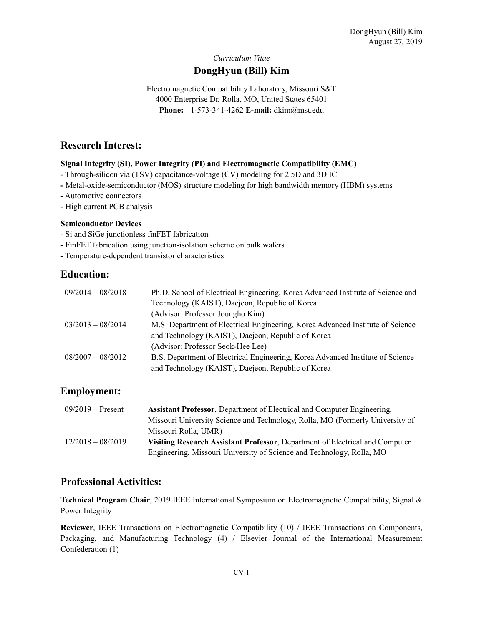# Curriculum Vitae DongHyun (Bill) Kim

Electromagnetic Compatibility Laboratory, Missouri S&T 4000 Enterprise Dr, Rolla, MO, United States 65401 Phone: +1-573-341-4262 E-mail: dkim@mst.edu

## Research Interest:

### Signal Integrity (SI), Power Integrity (PI) and Electromagnetic Compatibility (EMC)

- Through-silicon via (TSV) capacitance-voltage (CV) modeling for 2.5D and 3D IC
- Metal-oxide-semiconductor (MOS) structure modeling for high bandwidth memory (HBM) systems
- Automotive connectors
- High current PCB analysis

#### Semiconductor Devices

- Si and SiGe junctionless finFET fabrication
- FinFET fabrication using junction-isolation scheme on bulk wafers
- Temperature-dependent transistor characteristics

### Education:

| $09/2014 - 08/2018$ | Ph.D. School of Electrical Engineering, Korea Advanced Institute of Science and |  |
|---------------------|---------------------------------------------------------------------------------|--|
|                     | Technology (KAIST), Daejeon, Republic of Korea                                  |  |
|                     | (Advisor: Professor Joungho Kim)                                                |  |
| $03/2013 - 08/2014$ | M.S. Department of Electrical Engineering, Korea Advanced Institute of Science  |  |
|                     | and Technology (KAIST), Daejeon, Republic of Korea                              |  |
|                     | (Advisor: Professor Seok-Hee Lee)                                               |  |
| $08/2007 - 08/2012$ | B.S. Department of Electrical Engineering, Korea Advanced Institute of Science  |  |
|                     | and Technology (KAIST), Daejeon, Republic of Korea                              |  |

# Employment:

| $09/2019$ – Present | <b>Assistant Professor, Department of Electrical and Computer Engineering,</b> |  |
|---------------------|--------------------------------------------------------------------------------|--|
|                     | Missouri University Science and Technology, Rolla, MO (Formerly University of  |  |
|                     | Missouri Rolla, UMR)                                                           |  |
| $12/2018 - 08/2019$ | Visiting Research Assistant Professor, Department of Electrical and Computer   |  |
|                     | Engineering, Missouri University of Science and Technology, Rolla, MO          |  |

### Professional Activities:

Technical Program Chair, 2019 IEEE International Symposium on Electromagnetic Compatibility, Signal & Power Integrity

Reviewer, IEEE Transactions on Electromagnetic Compatibility (10) / IEEE Transactions on Components, Packaging, and Manufacturing Technology (4) / Elsevier Journal of the International Measurement Confederation (1)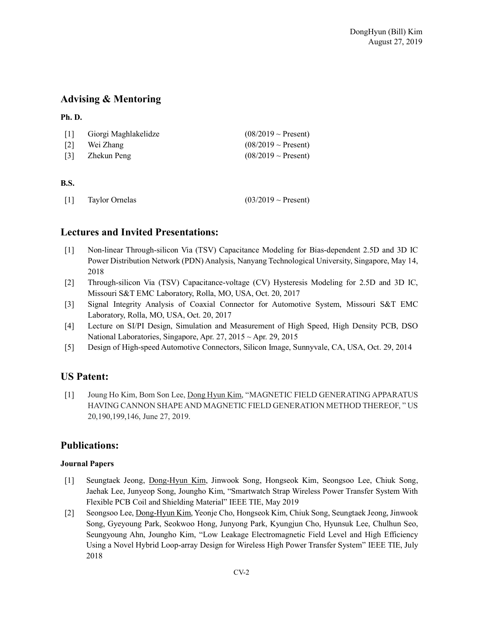# Advising & Mentoring

### Ph. D.

| $\lceil 1 \rceil$ | Giorgi Maghlakelidze | $(08/2019 \sim$ Present) |
|-------------------|----------------------|--------------------------|
| $\lceil 2 \rceil$ | Wei Zhang            | $(08/2019 \sim$ Present) |
| [3]               | Zhekun Peng          | $(08/2019 \sim$ Present) |
|                   |                      |                          |

### B.S.

| $[1]$<br>Taylor Ornelas | $(03/2019 \sim$ Present) |
|-------------------------|--------------------------|
|-------------------------|--------------------------|

# Lectures and Invited Presentations:

- [1] Non-linear Through-silicon Via (TSV) Capacitance Modeling for Bias-dependent 2.5D and 3D IC Power Distribution Network (PDN) Analysis, Nanyang Technological University, Singapore, May 14, 2018
- [2] Through-silicon Via (TSV) Capacitance-voltage (CV) Hysteresis Modeling for 2.5D and 3D IC, Missouri S&T EMC Laboratory, Rolla, MO, USA, Oct. 20, 2017
- [3] Signal Integrity Analysis of Coaxial Connector for Automotive System, Missouri S&T EMC Laboratory, Rolla, MO, USA, Oct. 20, 2017
- [4] Lecture on SI/PI Design, Simulation and Measurement of High Speed, High Density PCB, DSO National Laboratories, Singapore, Apr. 27, 2015 ~ Apr. 29, 2015
- [5] Design of High-speed Automotive Connectors, Silicon Image, Sunnyvale, CA, USA, Oct. 29, 2014

# US Patent:

[1] Joung Ho Kim, Bom Son Lee, Dong Hyun Kim, "MAGNETIC FIELD GENERATING APPARATUS HAVING CANNON SHAPE AND MAGNETIC FIELD GENERATION METHOD THEREOF, " US 20,190,199,146, June 27, 2019.

# Publications:

### Journal Papers

- [1] Seungtaek Jeong, Dong-Hyun Kim, Jinwook Song, Hongseok Kim, Seongsoo Lee, Chiuk Song, Jaehak Lee, Junyeop Song, Joungho Kim, "Smartwatch Strap Wireless Power Transfer System With Flexible PCB Coil and Shielding Material" IEEE TIE, May 2019
- [2] Seongsoo Lee, Dong-Hyun Kim, Yeonje Cho, Hongseok Kim, Chiuk Song, Seungtaek Jeong, Jinwook Song, Gyeyoung Park, Seokwoo Hong, Junyong Park, Kyungjun Cho, Hyunsuk Lee, Chulhun Seo, Seungyoung Ahn, Joungho Kim, "Low Leakage Electromagnetic Field Level and High Efficiency Using a Novel Hybrid Loop-array Design for Wireless High Power Transfer System" IEEE TIE, July 2018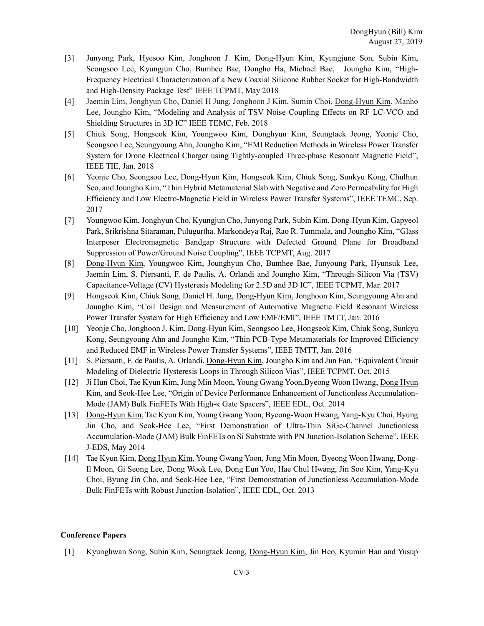- [3] Junyong Park, Hyesoo Kim, Jonghoon J. Kim, Dong-Hyun Kim, Kyungjune Son, Subin Kim, Seongsoo Lee, Kyungjun Cho, Bumhee Bae, Dongho Ha, Michael Bae, Joungho Kim, "High-Frequency Electrical Characterization of a New Coaxial Silicone Rubber Socket for High-Bandwidth and High-Density Package Test" IEEE TCPMT, May 2018
- [4] Jaemin Lim, Jonghyun Cho, Daniel H Jung, Jonghoon J Kim, Sumin Choi, Dong-Hyun Kim, Manho Lee, Joungho Kim, "Modeling and Analysis of TSV Noise Coupling Effects on RF LC-VCO and Shielding Structures in 3D IC" IEEE TEMC, Feb. 2018
- [5] Chiuk Song, Hongseok Kim, Youngwoo Kim, Donghyun Kim, Seungtaek Jeong, Yeonje Cho, Seongsoo Lee, Seungyoung Ahn, Joungho Kim, "EMI Reduction Methods in Wireless Power Transfer System for Drone Electrical Charger using Tightly-coupled Three-phase Resonant Magnetic Field", IEEE TIE, Jan. 2018
- [6] Yeonje Cho, Seongsoo Lee, Dong-Hyun Kim, Hongseok Kim, Chiuk Song, Sunkyu Kong, Chulhun Seo, and Joungho Kim, "Thin Hybrid Metamaterial Slab with Negative and Zero Permeability for High Efficiency and Low Electro-Magnetic Field in Wireless Power Transfer Systems", IEEE TEMC, Sep. 2017
- [7] Youngwoo Kim, Jonghyun Cho, Kyungjun Cho, Junyong Park, Subin Kim, Dong-Hyun Kim, Gapyeol Park, Srikrishna Sitaraman, Pulugurtha. Markondeya Raj, Rao R. Tummala, and Joungho Kim, "Glass Interposer Electromagnetic Bandgap Structure with Defected Ground Plane for Broadband Suppression of Power/Ground Noise Coupling", IEEE TCPMT, Aug. 2017
- [8] Dong-Hyun Kim, Youngwoo Kim, Jounghyun Cho, Bumhee Bae, Junyoung Park, Hyunsuk Lee, Jaemin Lim, S. Piersanti, F. de Paulis, A. Orlandi and Joungho Kim, "Through-Silicon Via (TSV) Capacitance-Voltage (CV) Hysteresis Modeling for 2.5D and 3D IC", IEEE TCPMT, Mar. 2017
- [9] Hongseok Kim, Chiuk Song, Daniel H. Jung, Dong-Hyun Kim, Jonghoon Kim, Seungyoung Ahn and Joungho Kim, "Coil Design and Measurement of Automotive Magnetic Field Resonant Wireless Power Transfer System for High Efficiency and Low EMF/EMI", IEEE TMTT, Jan. 2016
- [10] Yeonje Cho, Jonghoon J. Kim, Dong-Hyun Kim, Seongsoo Lee, Hongseok Kim, Chiuk Song, Sunkyu Kong, Seungyoung Ahn and Joungho Kim, "Thin PCB-Type Metamaterials for Improved Efficiency and Reduced EMF in Wireless Power Transfer Systems", IEEE TMTT, Jan. 2016
- [11] S. Piersanti, F. de Paulis, A. Orlandi, Dong-Hyun Kim, Joungho Kim and Jun Fan, "Equivalent Circuit Modeling of Dielectric Hysteresis Loops in Through Silicon Vias", IEEE TCPMT, Oct. 2015
- [12] Ji Hun Choi, Tae Kyun Kim, Jung Min Moon, Young Gwang Yoon,Byeong Woon Hwang, Dong Hyun Kim, and Seok-Hee Lee, "Origin of Device Performance Enhancement of Junctionless Accumulation-Mode (JAM) Bulk FinFETs With High-κ Gate Spacers", IEEE EDL, Oct. 2014
- [13] Dong-Hyun Kim, Tae Kyun Kim, Young Gwang Yoon, Byeong-Woon Hwang, Yang-Kyu Choi, Byung Jin Cho, and Seok-Hee Lee, "First Demonstration of Ultra-Thin SiGe-Channel Junctionless Accumulation-Mode (JAM) Bulk FinFETs on Si Substrate with PN Junction-Isolation Scheme", IEEE J-EDS, May 2014
- [14] Tae Kyun Kim, Dong Hyun Kim, Young Gwang Yoon, Jung Min Moon, Byeong Woon Hwang, Dong-Il Moon, Gi Seong Lee, Dong Wook Lee, Dong Eun Yoo, Hae Chul Hwang, Jin Soo Kim, Yang-Kyu Choi, Byung Jin Cho, and Seok-Hee Lee, "First Demonstration of Junctionless Accumulation-Mode Bulk FinFETs with Robust Junction-Isolation", IEEE EDL, Oct. 2013

#### Conference Papers

[1] Kyunghwan Song, Subin Kim, Seungtaek Jeong, Dong-Hyun Kim, Jin Heo, Kyumin Han and Yusup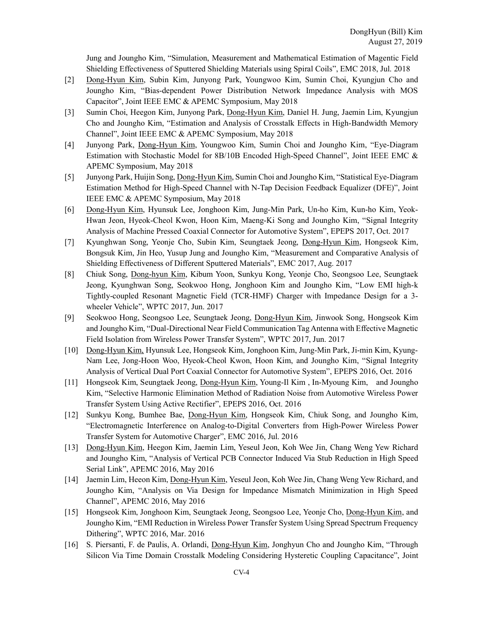Jung and Joungho Kim, "Simulation, Measurement and Mathematical Estimation of Magentic Field Shielding Effectiveness of Sputtered Shielding Materials using Spiral Coils", EMC 2018, Jul. 2018

- [2] Dong-Hyun Kim, Subin Kim, Junyong Park, Youngwoo Kim, Sumin Choi, Kyungjun Cho and Joungho Kim, "Bias-dependent Power Distribution Network Impedance Analysis with MOS Capacitor", Joint IEEE EMC & APEMC Symposium, May 2018
- [3] Sumin Choi, Heegon Kim, Junyong Park, Dong-Hyun Kim, Daniel H. Jung, Jaemin Lim, Kyungjun Cho and Joungho Kim, "Estimation and Analysis of Crosstalk Effects in High-Bandwidth Memory Channel", Joint IEEE EMC & APEMC Symposium, May 2018
- [4] Junyong Park, Dong-Hyun Kim, Youngwoo Kim, Sumin Choi and Joungho Kim, "Eye-Diagram Estimation with Stochastic Model for 8B/10B Encoded High-Speed Channel", Joint IEEE EMC & APEMC Symposium, May 2018
- [5] Junyong Park, Huijin Song, Dong-Hyun Kim, Sumin Choi and Joungho Kim, "Statistical Eye-Diagram Estimation Method for High-Speed Channel with N-Tap Decision Feedback Equalizer (DFE)", Joint IEEE EMC & APEMC Symposium, May 2018
- [6] Dong-Hyun Kim, Hyunsuk Lee, Jonghoon Kim, Jung-Min Park, Un-ho Kim, Kun-ho Kim, Yeok-Hwan Jeon, Hyeok-Cheol Kwon, Hoon Kim, Maeng-Ki Song and Joungho Kim, "Signal Integrity Analysis of Machine Pressed Coaxial Connector for Automotive System", EPEPS 2017, Oct. 2017
- [7] Kyunghwan Song, Yeonje Cho, Subin Kim, Seungtaek Jeong, Dong-Hyun Kim, Hongseok Kim, Bongsuk Kim, Jin Heo, Yusup Jung and Joungho Kim, "Measurement and Comparative Analysis of Shielding Effectiveness of Different Sputtered Materials", EMC 2017, Aug. 2017
- [8] Chiuk Song, Dong-hyun Kim, Kibum Yoon, Sunkyu Kong, Yeonje Cho, Seongsoo Lee, Seungtaek Jeong, Kyunghwan Song, Seokwoo Hong, Jonghoon Kim and Joungho Kim, "Low EMI high-k Tightly-coupled Resonant Magnetic Field (TCR-HMF) Charger with Impedance Design for a 3 wheeler Vehicle", WPTC 2017, Jun. 2017
- [9] Seokwoo Hong, Seongsoo Lee, Seungtaek Jeong, Dong-Hyun Kim, Jinwook Song, Hongseok Kim and Joungho Kim, "Dual-Directional Near Field Communication Tag Antenna with Effective Magnetic Field Isolation from Wireless Power Transfer System", WPTC 2017, Jun. 2017
- [10] Dong-Hyun Kim, Hyunsuk Lee, Hongseok Kim, Jonghoon Kim, Jung-Min Park, Ji-min Kim, Kyung-Nam Lee, Jong-Hoon Woo, Hyeok-Cheol Kwon, Hoon Kim, and Joungho Kim, "Signal Integrity Analysis of Vertical Dual Port Coaxial Connector for Automotive System", EPEPS 2016, Oct. 2016
- [11] Hongseok Kim, Seungtaek Jeong, Dong-Hyun Kim, Young-Il Kim , In-Myoung Kim, and Joungho Kim, "Selective Harmonic Elimination Method of Radiation Noise from Automotive Wireless Power Transfer System Using Active Rectifier", EPEPS 2016, Oct. 2016
- [12] Sunkyu Kong, Bumhee Bae, Dong-Hyun Kim, Hongseok Kim, Chiuk Song, and Joungho Kim, "Electromagnetic Interference on Analog-to-Digital Converters from High-Power Wireless Power Transfer System for Automotive Charger", EMC 2016, Jul. 2016
- [13] Dong-Hyun Kim, Heegon Kim, Jaemin Lim, Yeseul Jeon, Koh Wee Jin, Chang Weng Yew Richard and Joungho Kim, "Analysis of Vertical PCB Connector Induced Via Stub Reduction in High Speed Serial Link", APEMC 2016, May 2016
- [14] Jaemin Lim, Heeon Kim, Dong-Hyun Kim, Yeseul Jeon, Koh Wee Jin, Chang Weng Yew Richard, and Joungho Kim, "Analysis on Via Design for Impedance Mismatch Minimization in High Speed Channel", APEMC 2016, May 2016
- [15] Hongseok Kim, Jonghoon Kim, Seungtaek Jeong, Seongsoo Lee, Yeonje Cho, Dong-Hyun Kim, and Joungho Kim, "EMI Reduction in Wireless Power Transfer System Using Spread Spectrum Frequency Dithering", WPTC 2016, Mar. 2016
- [16] S. Piersanti, F. de Paulis, A. Orlandi, Dong-Hyun Kim, Jonghyun Cho and Joungho Kim, "Through Silicon Via Time Domain Crosstalk Modeling Considering Hysteretic Coupling Capacitance", Joint